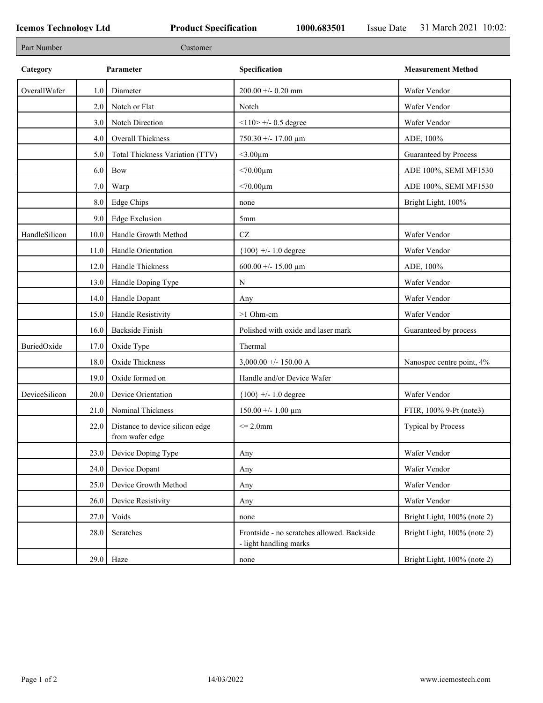| Part Number   |      | Customer                                           |                                                                      |                             |
|---------------|------|----------------------------------------------------|----------------------------------------------------------------------|-----------------------------|
| Category      |      | Parameter                                          | Specification                                                        | <b>Measurement Method</b>   |
| OverallWafer  | 1.0  | Diameter                                           | 200.00 +/- 0.20 mm                                                   | Wafer Vendor                |
|               | 2.0  | Notch or Flat                                      | Notch                                                                | Wafer Vendor                |
|               | 3.0  | Notch Direction                                    | $<$ 110> +/- 0.5 degree                                              | Wafer Vendor                |
|               | 4.0  | Overall Thickness                                  | $750.30 + - 17.00 \mu m$                                             | ADE, 100%                   |
|               | 5.0  | Total Thickness Variation (TTV)                    | $<$ 3.00 $\mu$ m                                                     | Guaranteed by Process       |
|               | 6.0  | Bow                                                | $< 70.00 \mu m$                                                      | ADE 100%, SEMI MF1530       |
|               | 7.0  | Warp                                               | $< 70.00 \mu m$                                                      | ADE 100%, SEMI MF1530       |
|               | 8.0  | Edge Chips                                         | none                                                                 | Bright Light, 100%          |
|               | 9.0  | Edge Exclusion                                     | 5 <sub>mm</sub>                                                      |                             |
| HandleSilicon | 10.0 | Handle Growth Method                               | $\operatorname{CZ}$                                                  | Wafer Vendor                |
|               | 11.0 | Handle Orientation                                 | ${100}$ +/- 1.0 degree                                               | Wafer Vendor                |
|               | 12.0 | Handle Thickness                                   | 600.00 +/- 15.00 $\mu$ m                                             | ADE, 100%                   |
|               | 13.0 | Handle Doping Type                                 | N                                                                    | Wafer Vendor                |
|               | 14.0 | Handle Dopant                                      | Any                                                                  | Wafer Vendor                |
|               | 15.0 | Handle Resistivity                                 | >1 Ohm-cm                                                            | Wafer Vendor                |
|               | 16.0 | <b>Backside Finish</b>                             | Polished with oxide and laser mark                                   | Guaranteed by process       |
| BuriedOxide   | 17.0 | Oxide Type                                         | Thermal                                                              |                             |
|               | 18.0 | Oxide Thickness                                    | $3,000.00 +/- 150.00 A$                                              | Nanospec centre point, 4%   |
|               | 19.0 | Oxide formed on                                    | Handle and/or Device Wafer                                           |                             |
| DeviceSilicon | 20.0 | Device Orientation                                 | ${100}$ +/- 1.0 degree                                               | Wafer Vendor                |
|               | 21.0 | Nominal Thickness                                  | $150.00 +/- 1.00 \mu m$                                              | FTIR, 100% 9-Pt (note3)     |
|               | 22.0 | Distance to device silicon edge<br>from wafer edge | $\leq$ 2.0mm                                                         | <b>Typical by Process</b>   |
|               | 23.0 | Device Doping Type                                 | Any                                                                  | Wafer Vendor                |
|               | 24.0 | Device Dopant                                      | Any                                                                  | Wafer Vendor                |
|               | 25.0 | Device Growth Method                               | Any                                                                  | Wafer Vendor                |
|               | 26.0 | Device Resistivity                                 | Any                                                                  | Wafer Vendor                |
|               | 27.0 | Voids                                              | none                                                                 | Bright Light, 100% (note 2) |
|               | 28.0 | Scratches                                          | Frontside - no scratches allowed. Backside<br>- light handling marks | Bright Light, 100% (note 2) |
|               |      | $29.0$ Haze                                        | none                                                                 | Bright Light, 100% (note 2) |
|               |      |                                                    |                                                                      |                             |